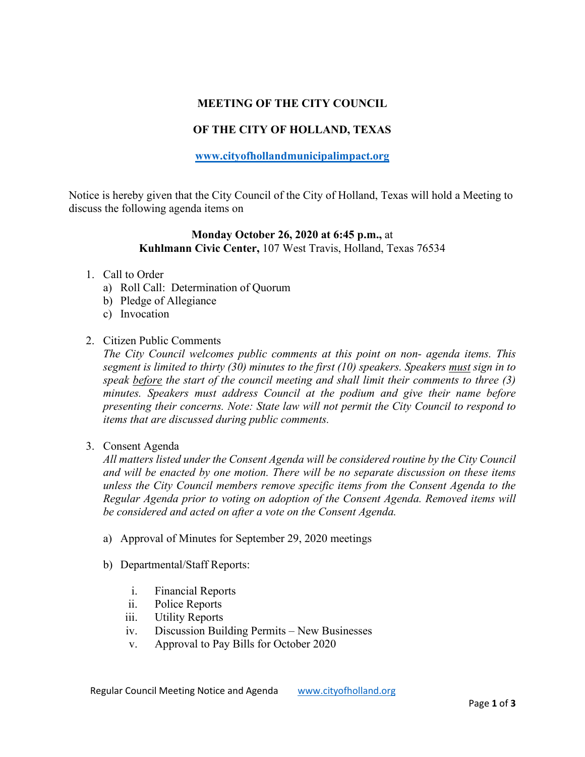# **MEETING OF THE CITY COUNCIL**

# **OF THE CITY OF HOLLAND, TEXAS**

### **[www.cityofhollandmunicipalimpact.org](http://www.cityofhollandmunicipalimpact.org/)**

Notice is hereby given that the City Council of the City of Holland, Texas will hold a Meeting to discuss the following agenda items on

### **Monday October 26, 2020 at 6:45 p.m.,** at **Kuhlmann Civic Center,** 107 West Travis, Holland, Texas 76534

#### 1. Call to Order

- a) Roll Call: Determination of Quorum
- b) Pledge of Allegiance
- c) Invocation
- 2. Citizen Public Comments

*The City Council welcomes public comments at this point on non- agenda items. This segment is limited to thirty (30) minutes to the first (10) speakers. Speakers must sign in to speak before the start of the council meeting and shall limit their comments to three (3) minutes. Speakers must address Council at the podium and give their name before presenting their concerns. Note: State law will not permit the City Council to respond to items that are discussed during public comments.* 

3. Consent Agenda

*All matters listed under the Consent Agenda will be considered routine by the City Council and will be enacted by one motion. There will be no separate discussion on these items unless the City Council members remove specific items from the Consent Agenda to the Regular Agenda prior to voting on adoption of the Consent Agenda. Removed items will be considered and acted on after a vote on the Consent Agenda.*

- a) Approval of Minutes for September 29, 2020 meetings
- b) Departmental/Staff Reports:
	- i. Financial Reports
	- ii. Police Reports
	- iii. Utility Reports
	- iv. Discussion Building Permits New Businesses
	- v. Approval to Pay Bills for October 2020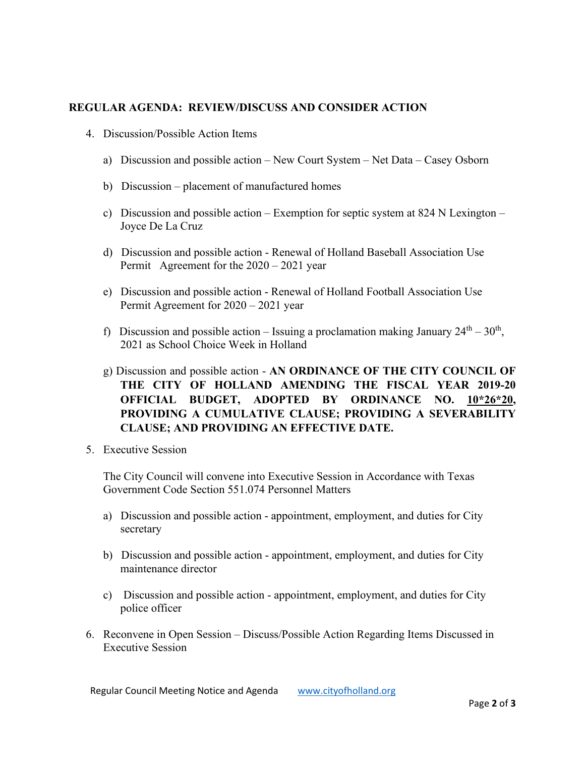### **REGULAR AGENDA: REVIEW/DISCUSS AND CONSIDER ACTION**

- 4. Discussion/Possible Action Items
	- a) Discussion and possible action New Court System Net Data Casey Osborn
	- b) Discussion placement of manufactured homes
	- c) Discussion and possible action Exemption for septic system at 824 N Lexington Joyce De La Cruz
	- d) Discussion and possible action Renewal of Holland Baseball Association Use Permit Agreement for the 2020 – 2021 year
	- e) Discussion and possible action Renewal of Holland Football Association Use Permit Agreement for 2020 – 2021 year
	- f) Discussion and possible action Issuing a proclamation making January  $24<sup>th</sup> 30<sup>th</sup>$ , 2021 as School Choice Week in Holland
	- g) Discussion and possible action **AN ORDINANCE OF THE CITY COUNCIL OF THE CITY OF HOLLAND AMENDING THE FISCAL YEAR 2019-20 OFFICIAL BUDGET, ADOPTED BY ORDINANCE NO. 10\*26\*20, PROVIDING A CUMULATIVE CLAUSE; PROVIDING A SEVERABILITY CLAUSE; AND PROVIDING AN EFFECTIVE DATE.**
- 5. Executive Session

The City Council will convene into Executive Session in Accordance with Texas Government Code Section 551.074 Personnel Matters

- a) Discussion and possible action appointment, employment, and duties for City secretary
- b) Discussion and possible action appointment, employment, and duties for City maintenance director
- c) Discussion and possible action appointment, employment, and duties for City police officer
- 6. Reconvene in Open Session Discuss/Possible Action Regarding Items Discussed in Executive Session